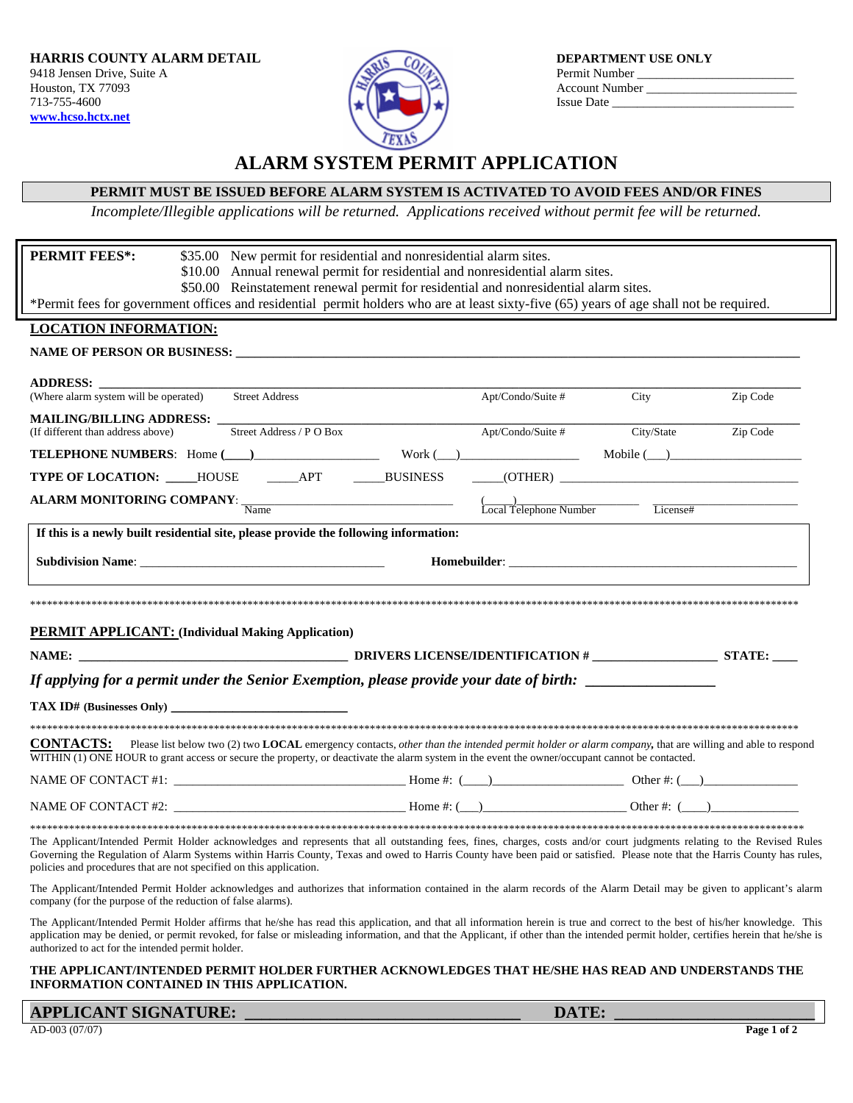

# **ALARM SYSTEM PERMIT APPLICATION**

## **PERMIT MUST BE ISSUED BEFORE ALARM SYSTEM IS ACTIVATED TO AVOID FEES AND/OR FINES**

*Incomplete/Illegible applications will be returned. Applications received without permit fee will be returned.* 

| <b>PERMIT FEES*:</b><br>\$35.00 New permit for residential and nonresidential alarm sites.<br>\$10.00 Annual renewal permit for residential and nonresidential alarm sites.<br>\$50.00 Reinstatement renewal permit for residential and nonresidential alarm sites.                                                                                                                                                         |                      |             |                     |
|-----------------------------------------------------------------------------------------------------------------------------------------------------------------------------------------------------------------------------------------------------------------------------------------------------------------------------------------------------------------------------------------------------------------------------|----------------------|-------------|---------------------|
| *Permit fees for government offices and residential permit holders who are at least sixty-five (65) years of age shall not be required.                                                                                                                                                                                                                                                                                     |                      |             |                     |
| <b>LOCATION INFORMATION:</b>                                                                                                                                                                                                                                                                                                                                                                                                |                      |             |                     |
|                                                                                                                                                                                                                                                                                                                                                                                                                             |                      |             |                     |
|                                                                                                                                                                                                                                                                                                                                                                                                                             |                      |             |                     |
| ADDRESS:<br>(Where alarm system will be operated) Street Address                                                                                                                                                                                                                                                                                                                                                            | $Apt/Condo/Suite \#$ | <b>City</b> | Zip Code            |
| <b>MAILING/BILLING ADDRESS:</b>                                                                                                                                                                                                                                                                                                                                                                                             |                      |             |                     |
| Street Address / P O Box<br>(If different than address above)                                                                                                                                                                                                                                                                                                                                                               | Apt/Condo/Suite #    |             | City/State Zip Code |
|                                                                                                                                                                                                                                                                                                                                                                                                                             |                      |             |                     |
| TYPE OF LOCATION: ____HOUSE ______APT ______BUSINESS _____(OTHER) __________________________________                                                                                                                                                                                                                                                                                                                        |                      |             |                     |
| <b>ALARM MONITORING COMPANY</b> : $\frac{1}{\text{Name}}$ $\frac{1}{\text{Local Telephone Number}}$ License#                                                                                                                                                                                                                                                                                                                |                      |             |                     |
| If this is a newly built residential site, please provide the following information:                                                                                                                                                                                                                                                                                                                                        |                      |             |                     |
|                                                                                                                                                                                                                                                                                                                                                                                                                             |                      |             |                     |
|                                                                                                                                                                                                                                                                                                                                                                                                                             |                      |             |                     |
| <b>PERMIT APPLICANT:</b> (Individual Making Application)                                                                                                                                                                                                                                                                                                                                                                    |                      |             |                     |
|                                                                                                                                                                                                                                                                                                                                                                                                                             |                      |             |                     |
|                                                                                                                                                                                                                                                                                                                                                                                                                             |                      |             |                     |
|                                                                                                                                                                                                                                                                                                                                                                                                                             |                      |             |                     |
| If applying for a permit under the Senior Exemption, please provide your date of birth: __________________                                                                                                                                                                                                                                                                                                                  |                      |             |                     |
|                                                                                                                                                                                                                                                                                                                                                                                                                             |                      |             |                     |
|                                                                                                                                                                                                                                                                                                                                                                                                                             |                      |             |                     |
| <b>CONTACTS:</b> Please list below two (2) two <b>LOCAL</b> emergency contacts, <i>other than the intended permit holder or alarm company</i> , that are willing and able to respond<br>WITHIN (1) ONE HOUR to grant access or secure the property, or deactivate the alarm system in the event the owner/occupant cannot be contacted.                                                                                     |                      |             |                     |
|                                                                                                                                                                                                                                                                                                                                                                                                                             |                      |             |                     |
|                                                                                                                                                                                                                                                                                                                                                                                                                             |                      |             |                     |
|                                                                                                                                                                                                                                                                                                                                                                                                                             |                      |             |                     |
| The Applicant/Intended Permit Holder acknowledges and represents that all outstanding fees, fines, charges, costs and/or court judgments relating to the Revised Rules<br>Governing the Regulation of Alarm Systems within Harris County, Texas and owed to Harris County have been paid or satisfied. Please note that the Harris County has rules,<br>policies and procedures that are not specified on this application. |                      |             |                     |

The Applicant/Intended Permit Holder affirms that he/she has read this application, and that all information herein is true and correct to the best of his/her knowledge. This application may be denied, or permit revoked, for false or misleading information, and that the Applicant, if other than the intended permit holder, certifies herein that he/she is authorized to act for the intended permit holder.

#### **THE APPLICANT/INTENDED PERMIT HOLDER FURTHER ACKNOWLEDGES THAT HE/SHE HAS READ AND UNDERSTANDS THE INFORMATION CONTAINED IN THIS APPLICATION.**

**APPLICANT SIGNATURE:**  $\blacksquare$ 

AD-003 (07/07) **Page 1 of 2**